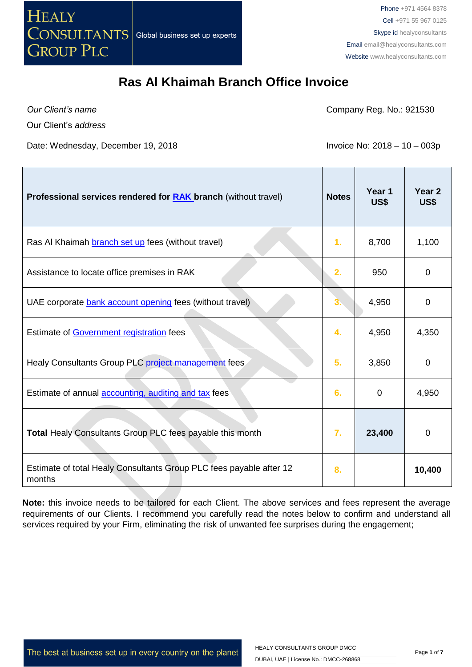

*Our Client's name*

Г

Company Reg. No.: 921530

Our Client's *address*

Date: Wednesday, December 19, 2018 **Invoice No: 2018 - 10 - 003p** 

and the state

| <b>Professional services rendered for RAK branch (without travel)</b>         | <b>Notes</b>     | Year 1<br>US\$ | Year <sub>2</sub><br>US\$ |
|-------------------------------------------------------------------------------|------------------|----------------|---------------------------|
| Ras Al Khaimah branch set up fees (without travel)                            | 1.               | 8,700          | 1,100                     |
| Assistance to locate office premises in RAK                                   | 2.               | 950            | 0                         |
| UAE corporate bank account opening fees (without travel)                      | 3.               | 4,950          | 0                         |
| Estimate of Government registration fees                                      | 4.               | 4,950          | 4,350                     |
| Healy Consultants Group PLC project management fees                           | 5.               | 3,850          | $\Omega$                  |
| Estimate of annual <b>accounting</b> , auditing and tax fees                  | 6.               | 0              | 4,950                     |
| Total Healy Consultants Group PLC fees payable this month                     | $\overline{7}$ . | 23,400         | 0                         |
| Estimate of total Healy Consultants Group PLC fees payable after 12<br>months | 8.               |                | 10,400                    |

**Note:** this invoice needs to be tailored for each Client. The above services and fees represent the average requirements of our Clients. I recommend you carefully read the notes below to confirm and understand all services required by your Firm, eliminating the risk of unwanted fee surprises during the engagement;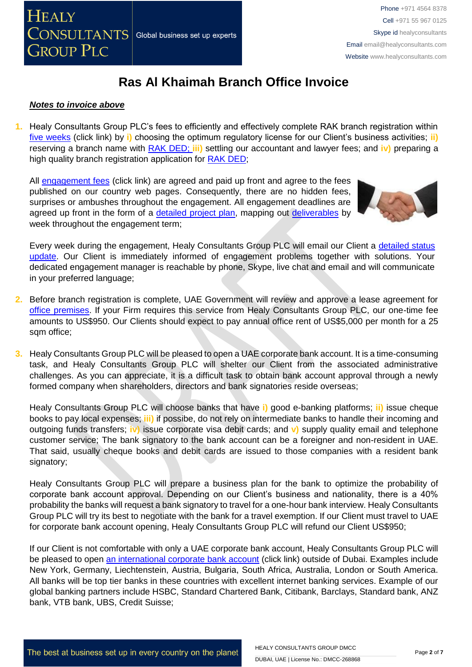#### *Notes to invoice above*

**1.** Healy Consultants Group PLC's fees to efficiently and effectively complete RAK branch registration within [five weeks](http://www.healyconsultants.com/ras-al-khaimah-free-zone/fees-timelines/#timelines) (click link) by **i)** choosing the optimum regulatory license for our Client's business activities; **ii)** reserving a branch name with [RAK DED;](http://www.ded.rak.ae/en/Pages/default.aspx) **iii)** settling our accountant and lawyer fees; and **iv)** preparing a high quality branch registration application for [RAK DED;](http://www.rakia.ae/)

All [engagement fees](http://www.healyconsultants.com/company-registration-fees/) (click link) are agreed and paid up front and agree to the fees published on our country web pages. Consequently, there are no hidden fees, surprises or ambushes throughout the engagement. All engagement deadlines are agreed up front in the form of a [detailed project plan,](http://www.healyconsultants.com/index-important-links/example-project-plan/) mapping out [deliverables](http://www.healyconsultants.com/deliverables-to-our-clients/) by week throughout the engagement term;



Every week during the engagement, Healy Consultants Group PLC will email our Client a detailed status [update.](http://www.healyconsultants.com/index-important-links/weekly-engagement-status-email/) Our Client is immediately informed of engagement problems together with solutions. Your dedicated engagement manager is reachable by phone, Skype, live chat and email and will communicate in your preferred language;

- **2.** Before branch registration is complete, UAE Government will review and approve a lease agreement for [office premises.](http://www.rakia.ae/Company-Formation/Facilities) If your Firm requires this service from Healy Consultants Group PLC, our one-time fee amounts to US\$950. Our Clients should expect to pay annual office rent of US\$5,000 per month for a 25 sqm office;
- **3.** Healy Consultants Group PLC will be pleased to open a UAE corporate bank account. It is a time-consuming task, and Healy Consultants Group PLC will shelter our Client from the associated administrative challenges. As you can appreciate, it is a difficult task to obtain bank account approval through a newly formed company when shareholders, directors and bank signatories reside overseas;

Healy Consultants Group PLC will choose banks that have **i)** good e-banking platforms; **ii)** issue cheque books to pay local expenses; **iii)** if possibe, do not rely on intermediate banks to handle their incoming and outgoing funds transfers; **iv)** issue corporate visa debit cards; and **v)** supply quality email and telephone customer service; The bank signatory to the bank account can be a foreigner and non-resident in UAE. That said, usually cheque books and debit cards are issued to those companies with a resident bank signatory;

Healy Consultants Group PLC will prepare a business plan for the bank to optimize the probability of corporate bank account approval. Depending on our Client's business and nationality, there is a 40% probability the banks will request a bank signatory to travel for a one-hour bank interview. Healy Consultants Group PLC will try its best to negotiate with the bank for a travel exemption. If our Client must travel to UAE for corporate bank account opening, Healy Consultants Group PLC will refund our Client US\$950;

If our Client is not comfortable with only a UAE corporate bank account, Healy Consultants Group PLC will be pleased to open [an international corporate bank account](http://www.healyconsultants.com/international-banking/) (click link) outside of Dubai. Examples include New York, Germany, Liechtenstein, Austria, Bulgaria, South Africa, Australia, London or South America. All banks will be top tier banks in these countries with excellent internet banking services. Example of our global banking partners include HSBC, Standard Chartered Bank, Citibank, Barclays, Standard bank, ANZ bank, VTB bank, UBS, Credit Suisse;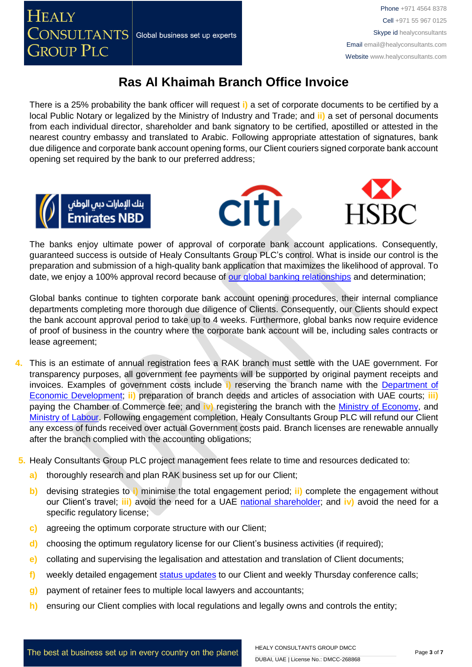**GROUP PLC** 

**HEALY** 

# **Ras Al Khaimah Branch Office Invoice**

There is a 25% probability the bank officer will request **i)** a set of corporate documents to be certified by a local Public Notary or legalized by the Ministry of Industry and Trade; and **ii)** a set of personal documents from each individual director, shareholder and bank signatory to be certified, apostilled or attested in the nearest country embassy and translated to Arabic. Following appropriate attestation of signatures, bank due diligence and corporate bank account opening forms, our Client couriers signed corporate bank account opening set required by the bank to our preferred address;







The banks enjoy ultimate power of approval of corporate bank account applications. Consequently, guaranteed success is outside of Healy Consultants Group PLC's control. What is inside our control is the preparation and submission of a high-quality bank application that maximizes the likelihood of approval. To date, we enjoy a 100% approval record because of [our global banking relationships](http://www.healyconsultants.com/international-banking/corporate-accounts/) and determination;

Global banks continue to tighten corporate bank account opening procedures, their internal compliance departments completing more thorough due diligence of Clients. Consequently, our Clients should expect the bank account approval period to take up to 4 weeks. Furthermore, global banks now require evidence of proof of business in the country where the corporate bank account will be, including sales contracts or lease agreement;

- **4.** This is an estimate of annual registration fees a RAK branch must settle with the UAE government. For transparency purposes, all government fee payments will be supported by original payment receipts and invoices. Examples of government costs include **i)** reserving the branch name with the [Department of](http://www.ded.rak.ae/en/Pages/default.aspx)  [Economic Development;](http://www.ded.rak.ae/en/Pages/default.aspx) **ii)** preparation of branch deeds and articles of association with UAE courts; **iii)**  paying the Chamber of Commerce fee; and **iv)** registering the branch with the [Ministry of Economy,](https://www.rak.ae/wps/portal/rak/home/edirectory/federal-entities/ministry-of-economy/!ut/p/z1/vVLBUsIwFPyVXjh2XlLSNjm2ijAoOMq00Fw6oQ0YpS2EDFq_3sCtjoBezC15-_a93SxwWACvxUGthVFNLTb2nvEgJxh7HiN4giZPBEUxnZL-Q4ppgGHeBVBEGYrGM5ymNzEeUQL8N_3ozInQtf4UOPCiNlvzApkWb7lci7xoaiNrs1FLLXSbC91DtuTIUmlZmEa3PbSSpdRi41iYMkrue6hStdob3TrNypGWoanaHx-PA7eFKiHDZYFWlPkuYyFziedjl_kldWVJvCUNln3Jiu8GdRUMB1cNmgltOXgX1rU5uQsuA07_cAJcMvrSJqdFu4DhYxjbESH1b7EluEeQWanhWS0sgPlByXdI6kZXNluzPzo5QjC-5pbNq3rd7XhkQ3EMwYeBxf-kYlslSUX7rTsePI8-46k7nEdfFDOo9w!!/dz/d5/L0lHSkovd0RNQUprQUVnQSEhLzROVkUvZW4!/) and [Ministry of Labour.](https://www.rak.ae/wps/portal/rak/home/edirectory/federal-entities/ministry-of-labour/!ut/p/z1/vZJLc4IwFIX_ChuXTC4SISyhWh1b7bQOKNkwAaJNhaAxffDvG93RqY9uml2S7-aee3IQRStEJfsQG6ZFI1ll9in1Muw4_X6AnRnMnjGEEZlj9zFxyMxDyy5AgAQQThdOktxFzoRgRG-phzMrhGv1CaKIFlLv9CtKFdtmfMOyopGaS12JXDHVZkz1wFxZvBSKF7pRbQ_WvOSKVZbBhBb80INaSHHQqrWatVWxvHlXv50d2-0KUaIUuFd4PiM2BC62cVEEdlBibudBOSCYQA4u-WlPV_94dIM9tIt0DY7vvcvA6QdOwCWLL6k4iewC4yc_Mi18Mhg65oEHQAumUGpG9c_OMuqj5YfgnyiWjapNshZ_dHICaHrNLZNW8bbf09BE4hiBL41W_5GJXR3HNXFbe_syWg-juT1eht_bXh46/dz/d5/L0lHSkovd0RNQUZrQUVnQSEhLzROVkUvZW4!/) Following engagement completion, Healy Consultants Group PLC will refund our Client any excess of funds received over actual Government costs paid. Branch licenses are renewable annually after the branch complied with the accounting obligations;
- **5.** Healy Consultants Group PLC project management fees relate to time and resources dedicated to:
	- **a)** thoroughly research and plan RAK business set up for our Client;
	- **b)** devising strategies to **i)** minimise the total engagement period; **ii)** complete the engagement without our Client's travel; **iii)** avoid the need for a UAE national [shareholder;](http://www.healyconsultants.com/corporate-advisory-services/nominee-shareholders-directors/national-shareholder-services/) and **iv)** avoid the need for a specific regulatory license;
	- **c)** agreeing the optimum corporate structure with our Client;
	- **d)** choosing the optimum regulatory license for our Client's business activities (if required);
	- **e)** collating and supervising the legalisation and attestation and translation of Client documents;
	- **f)** weekly detailed engagement [status updates](http://www.healyconsultants.com/index-important-links/weekly-engagement-status-email/) to our Client and weekly Thursday conference calls;
	- **g)** payment of retainer fees to multiple local lawyers and accountants;
	- **h)** ensuring our Client complies with local regulations and legally owns and controls the entity;

The best at business set up in every country on the planet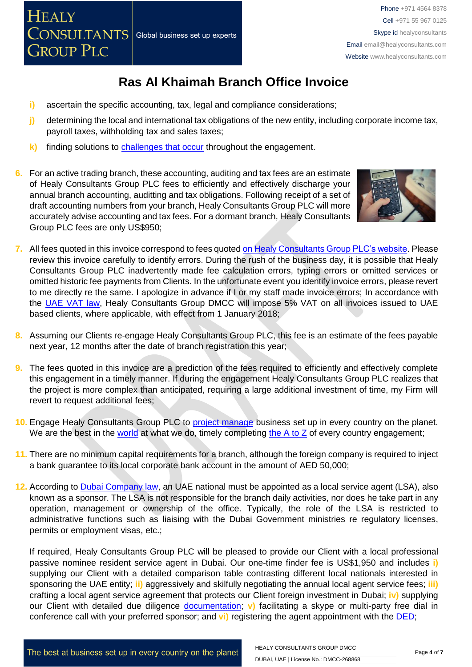

- **i)** ascertain the specific accounting, tax, legal and compliance considerations;
- **j)** determining the local and international tax obligations of the new entity, including corporate income tax, payroll taxes, withholding tax and sales taxes;
- **k)** finding solutions to [challenges that occur](http://www.healyconsultants.com/engagement-project-management/) throughout the engagement.
- **6.** For an active trading branch, thes[e accounting, auditing and tax fees](http://www.healyconsultants.com/uae-company-registration/accounting-legal/) are an estimate of Healy Consultants Group PLC fees to efficiently and effectively discharge your annual branch accounting, auditting and tax obligations. Following receipt of a set of draft accounting numbers from your branch, Healy Consultants Group PLC will more accurately advise accounting and tax fees. For a dormant branch, Healy Consultants Group PLC fees are only US\$950;



- **7.** All fees quoted in this invoice correspond to fees quoted [on Healy Consultants](http://www.healyconsultants.com/company-registration-fees/) Group PLC's website. Please review this invoice carefully to identify errors. During the rush of the business day, it is possible that Healy Consultants Group PLC inadvertently made fee calculation errors, typing errors or omitted services or omitted historic fee payments from Clients. In the unfortunate event you identify invoice errors, please revert to me directly re the same. I apologize in advance if I or my staff made invoice errors; In accordance with the [UAE VAT law,](https://www.tax.gov.ae/legislation.aspx) Healy Consultants Group DMCC will impose 5% VAT on all invoices issued to UAE based clients, where applicable, with effect from 1 January 2018;
- **8.** Assuming our Clients re-engage Healy Consultants Group PLC, this fee is an estimate of the fees payable next year, 12 months after the date of branch registration this year;
- **9.** The fees quoted in this invoice are a prediction of the fees required to efficiently and effectively complete this engagement in a timely manner. If during the engagement Healy Consultants Group PLC realizes that the project is more complex than anticipated, requiring a large additional investment of time, my Firm will revert to request additional fees;
- **10.** Engage Healy Consultants Group PLC to [project manage](http://www.healyconsultants.com/project-manage-engagements/) business set up in every country on the planet. We are the best in the [world](http://www.healyconsultants.com/best-in-the-world/) at what we do, timely completing the  $A$  to  $Z$  of every country engagement;
- **11.** There are no minimum capital requirements for a branch, although the foreign company is required to inject a bank guarantee to its local corporate bank account in the amount of AED 50,000;
- **12.** According to [Dubai Company](http://ejustice.gov.ae/downloads/latest_laws2015/federal_law_2_2015_commercial_companies_en.pdf) law, an UAE national must be appointed as a local service agent (LSA), also known as a sponsor. The LSA is not responsible for the branch daily activities, nor does he take part in any operation, management or ownership of the office. Typically, the role of the LSA is restricted to administrative functions such as liaising with the Dubai Government ministries re regulatory licenses, permits or employment visas, etc.;

If required, Healy Consultants Group PLC will be pleased to provide our Client with a local professional passive nominee resident service agent in Dubai. Our one-time finder fee is US\$1,950 and includes **i)** supplying our Client with a detailed comparison table contrasting different local nationals interested in sponsoring the UAE entity; **ii)** aggressively and skilfully negotiating the annual local agent service fees; **iii)** crafting a local agent service agreement that protects our Client foreign investment in Dubai; **iv)** supplying our Client with detailed due diligence **[documentation;](https://www.healyconsultants.com/company-formation/due-diligence/)** v) facilitating a skype or multi-party free dial in conference call with your preferred sponsor; and **vi)** registering the agent appointment with the [DED;](http://www.dubaided.ae/English/Pages/default.aspx)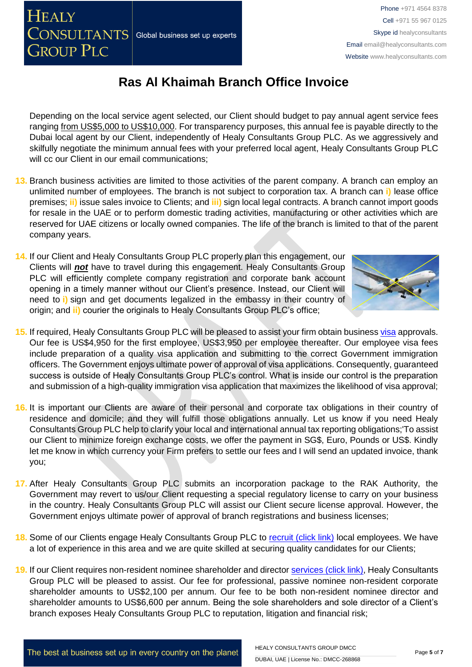The best at business set up in every country on the planet

HEALY CONSULTANTS GROUP DMCC DUBAI, UAE | License No.: DMCC-268868

**HEALY** 

**GROUP PLC** 

**CONSULTANTS** Global business set up experts

Depending on the local service agent selected, our Client should budget to pay annual agent service fees ranging from US\$5,000 to US\$10,000. For transparency purposes, this annual fee is payable directly to the Dubai local agent by our Client, independently of Healy Consultants Group PLC. As we aggressively and skilfully negotiate the minimum annual fees with your preferred local agent, Healy Consultants Group PLC will cc our Client in our email communications;

**Ras Al Khaimah Branch Office Invoice**

- **13.** Branch business activities are limited to those activities of the parent company. A branch can employ an unlimited number of employees. The branch is not subject to corporation tax. A branch can **i)** lease office premises; **ii)** issue sales invoice to Clients; and **iii)** sign local legal contracts. A branch cannot import goods for resale in the UAE or to perform domestic trading activities, manufacturing or other activities which are reserved for UAE citizens or locally owned companies. The life of the branch is limited to that of the parent company years.
- **14.** If our Client and Healy Consultants Group PLC properly plan this engagement, our Clients will *not* have to travel during this engagement. Healy Consultants Group PLC will efficiently complete company registration and corporate bank account opening in a timely manner without our Client's presence. Instead, our Client will need to **i)** sign and get documents legalized in the embassy in their country of origin; and **ii)** courier the originals to Healy Consultants Group PLC's office;
- **15.** If required, Healy Consultants Group PLC will be pleased to assist your firm obtain business [visa](http://www.healyconsultants.com/uae-company-registration/employment-visas/) approvals. Our fee is US\$4,950 for the first employee, US\$3,950 per employee thereafter. Our employee visa fees include preparation of a quality visa application and submitting to the correct Government immigration officers. The Government enjoys ultimate power of approval of visa applications. Consequently, guaranteed success is outside of Healy Consultants Group PLC's control. What is inside our control is the preparation and submission of a high-quality immigration visa application that maximizes the likelihood of visa approval;
- **16.** It is important our Clients are aware of their personal and corporate tax obligations in their country of residence and domicile; and they will fulfill those obligations annually. Let us know if you need Healy Consultants Group PLC help to clarify your local and international annual tax reporting obligations;'To assist our Client to minimize foreign exchange costs, we offer the payment in SG\$, Euro, Pounds or US\$. Kindly let me know in which currency your Firm prefers to settle our fees and I will send an updated invoice, thank you;
- **17.** After Healy Consultants Group PLC submits an incorporation package to the RAK Authority, the Government may revert to us/our Client requesting a special regulatory license to carry on your business in the country. Healy Consultants Group PLC will assist our Client secure license approval. However, the Government enjoys ultimate power of approval of branch registrations and business licenses;
- **18.** Some of our Clients engage Healy Consultants Group PLC to [recruit \(click link\)](http://www.healyconsultants.com/corporate-outsourcing-services/how-we-help-our-clients-recruit-quality-employees/) local employees. We have a lot of experience in this area and we are quite skilled at securing quality candidates for our Clients;
- **19.** If our Client requires non-resident nominee shareholder and director [services \(click link\),](http://www.healyconsultants.com/corporate-outsourcing-services/nominee-shareholders-directors/) Healy Consultants Group PLC will be pleased to assist. Our fee for professional, passive nominee non-resident corporate shareholder amounts to US\$2,100 per annum. Our fee to be both non-resident nominee director and shareholder amounts to US\$6,600 per annum. Being the sole shareholders and sole director of a Client's branch exposes Healy Consultants Group PLC to reputation, litigation and financial risk;

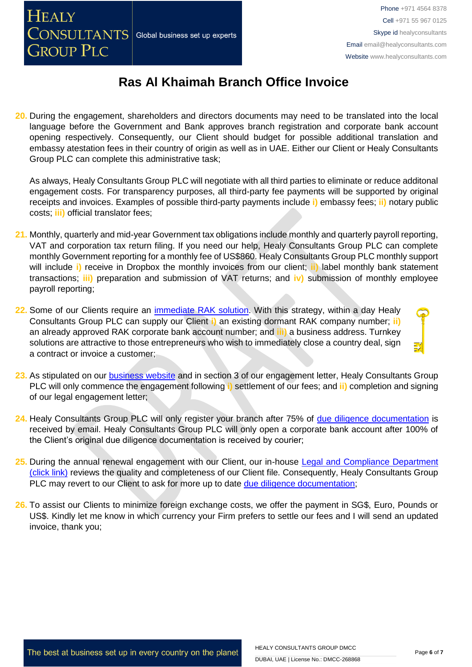**20.** During the engagement, shareholders and directors documents may need to be translated into the local language before the Government and Bank approves branch registration and corporate bank account opening respectively. Consequently, our Client should budget for possible additional translation and embassy atestation fees in their country of origin as well as in UAE. Either our Client or Healy Consultants Group PLC can complete this administrative task;

As always, Healy Consultants Group PLC will negotiate with all third parties to eliminate or reduce additonal engagement costs. For transparency purposes, all third-party fee payments will be supported by original receipts and invoices. Examples of possible third-party payments include **i)** embassy fees; **ii)** notary public costs; **iii)** official translator fees;

- **21.** Monthly, quarterly and mid-year Government tax obligations include monthly and quarterly payroll reporting, VAT and corporation tax return filing. If you need our help, Healy Consultants Group PLC can complete monthly Government reporting for a monthly fee of US\$860. Healy Consultants Group PLC monthly support will include **i)** receive in Dropbox the monthly invoices from our client; **ii)** label monthly bank statement transactions; **iii)** preparation and submission of VAT returns; and **iv)** submission of monthly employee payroll reporting;
- **22.** Some of our Clients require an [immediate RAK](http://www.healyconsultants.com/turnkey-solutions/) solution. With this strategy, within a day Healy Consultants Group PLC can supply our Client **i)** an existing dormant RAK company number; **ii)** an already approved RAK corporate bank account number; and **iii)** a business address. Turnkey solutions are attractive to those entrepreneurs who wish to immediately close a country deal, sign a contract or invoice a customer;
- **23.** As stipulated on our [business website](http://www.healyconsultants.com/) and in section 3 of our engagement letter, Healy Consultants Group PLC will only commence the engagement following **i)** settlement of our fees; and **ii)** completion and signing of our legal engagement letter;
- **24.** Healy Consultants Group PLC will only register your branch after 75% of [due diligence documentation](http://www.healyconsultants.com/due-diligence/) is received by email. Healy Consultants Group PLC will only open a corporate bank account after 100% of the Client's original due diligence documentation is received by courier;
- 25. During the annual renewal engagement with our Client, our in-house Legal and Compliance Department [\(click link\)](http://www.healyconsultants.com/about-us/key-personnel/cai-xin-profile/) reviews the quality and completeness of our Client file. Consequently, Healy Consultants Group PLC may revert to our Client to ask for more up to date [due diligence documentation;](http://www.healyconsultants.com/due-diligence/)
- **26.** To assist our Clients to minimize foreign exchange costs, we offer the payment in SG\$, Euro, Pounds or US\$. Kindly let me know in which currency your Firm prefers to settle our fees and I will send an updated invoice, thank you;